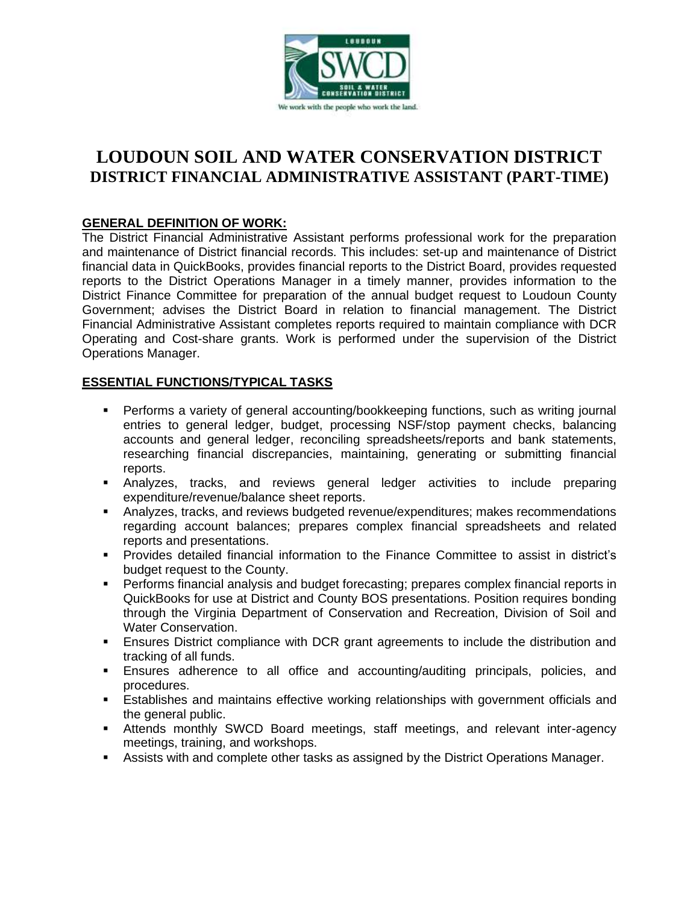

# **LOUDOUN SOIL AND WATER CONSERVATION DISTRICT DISTRICT FINANCIAL ADMINISTRATIVE ASSISTANT (PART-TIME)**

## **GENERAL DEFINITION OF WORK:**

The District Financial Administrative Assistant performs professional work for the preparation and maintenance of District financial records. This includes: set-up and maintenance of District financial data in QuickBooks, provides financial reports to the District Board, provides requested reports to the District Operations Manager in a timely manner, provides information to the District Finance Committee for preparation of the annual budget request to Loudoun County Government; advises the District Board in relation to financial management. The District Financial Administrative Assistant completes reports required to maintain compliance with DCR Operating and Cost-share grants. Work is performed under the supervision of the District Operations Manager.

## **ESSENTIAL FUNCTIONS/TYPICAL TASKS**

- **•** Performs a variety of general accounting/bookkeeping functions, such as writing journal entries to general ledger, budget, processing NSF/stop payment checks, balancing accounts and general ledger, reconciling spreadsheets/reports and bank statements, researching financial discrepancies, maintaining, generating or submitting financial reports.
- **■** Analyzes, tracks, and reviews general ledger activities to include preparing expenditure/revenue/balance sheet reports.
- **EXP** Analyzes, tracks, and reviews budgeted revenue/expenditures; makes recommendations regarding account balances; prepares complex financial spreadsheets and related reports and presentations.
- Provides detailed financial information to the Finance Committee to assist in district's budget request to the County.
- Performs financial analysis and budget forecasting; prepares complex financial reports in QuickBooks for use at District and County BOS presentations. Position requires bonding through the Virginia Department of Conservation and Recreation, Division of Soil and Water Conservation.
- **Ensures District compliance with DCR grant agreements to include the distribution and** tracking of all funds.
- Ensures adherence to all office and accounting/auditing principals, policies, and procedures.
- **E** Establishes and maintains effective working relationships with government officials and the general public.
- **EXECT** Attends monthly SWCD Board meetings, staff meetings, and relevant inter-agency meetings, training, and workshops.
- **E** Assists with and complete other tasks as assigned by the District Operations Manager.